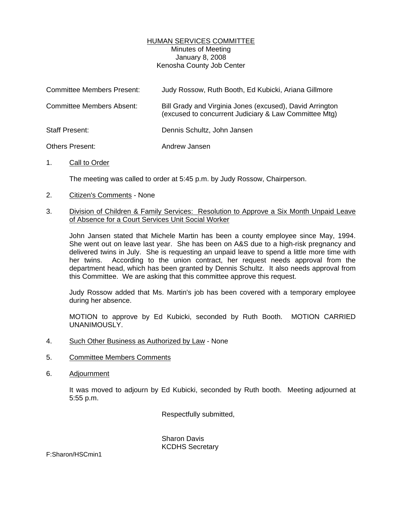## HUMAN SERVICES COMMITTEE Minutes of Meeting January 8, 2008 Kenosha County Job Center

| <b>Committee Members Present:</b> | Judy Rossow, Ruth Booth, Ed Kubicki, Ariana Gillmore                                                              |
|-----------------------------------|-------------------------------------------------------------------------------------------------------------------|
| <b>Committee Members Absent:</b>  | Bill Grady and Virginia Jones (excused), David Arrington<br>(excused to concurrent Judiciary & Law Committee Mtg) |
| Staff Present:                    | Dennis Schultz, John Jansen                                                                                       |
| Others Present:                   | Andrew Jansen                                                                                                     |

1. Call to Order

The meeting was called to order at 5:45 p.m. by Judy Rossow, Chairperson.

- 2. Citizen's Comments None
- 3. Division of Children & Family Services: Resolution to Approve a Six Month Unpaid Leave of Absence for a Court Services Unit Social Worker

 John Jansen stated that Michele Martin has been a county employee since May, 1994. She went out on leave last year. She has been on A&S due to a high-risk pregnancy and delivered twins in July. She is requesting an unpaid leave to spend a little more time with her twins. According to the union contract, her request needs approval from the department head, which has been granted by Dennis Schultz. It also needs approval from this Committee. We are asking that this committee approve this request.

 Judy Rossow added that Ms. Martin's job has been covered with a temporary employee during her absence.

 MOTION to approve by Ed Kubicki, seconded by Ruth Booth. MOTION CARRIED UNANIMOUSLY.

- 4. Such Other Business as Authorized by Law None
- 5. Committee Members Comments
- 6. Adjournment

 It was moved to adjourn by Ed Kubicki, seconded by Ruth booth. Meeting adjourned at 5:55 p.m.

Respectfully submitted,

 Sharon Davis KCDHS Secretary

F:Sharon/HSCmin1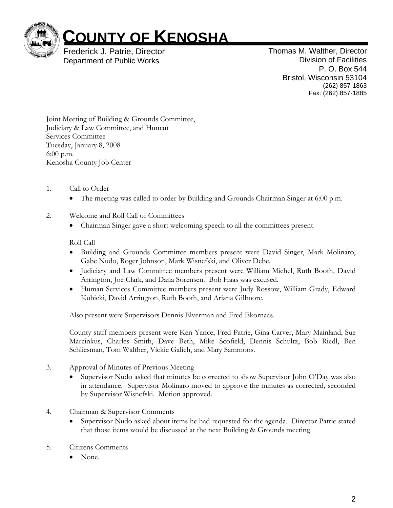

## **COUNTY OF KENOSHA**

Frederick J. Patrie, Director Department of Public Works

Thomas M. Walther, Director Division of Facilities P. O. Box 544 Bristol, Wisconsin 53104 (262) 857-1863 Fax: (262) 857-1885

Joint Meeting of Building & Grounds Committee, Judiciary & Law Committee, and Human Services Committee Tuesday, January 8, 2008 6:00 p.m. Kenosha County Job Center

- 1. Call to Order
	- The meeting was called to order by Building and Grounds Chairman Singer at 6:00 p.m.
- 2. Welcome and Roll Call of Committees
	- Chairman Singer gave a short welcoming speech to all the committees present.

## Roll Call

- Building and Grounds Committee members present were David Singer, Mark Molinaro, Gabe Nudo, Roger Johnson, Mark Wisnefski, and Oliver Debe.
- Judiciary and Law Committee members present were William Michel, Ruth Booth, David Arrington, Joe Clark, and Dana Sorensen. Bob Haas was excused.
- Human Services Committee members present were Judy Rossow, William Grady, Edward Kubicki, David Arrington, Ruth Booth, and Ariana Gillmore.

Also present were Supervisors Dennis Elverman and Fred Ekornaas.

County staff members present were Ken Yance, Fred Patrie, Gina Carver, Mary Mainland, Sue Marcinkus, Charles Smith, Dave Beth, Mike Scofield, Dennis Schultz, Bob Riedl, Ben Schliesman, Tom Walther, Vickie Galich, and Mary Sammons.

- 3. Approval of Minutes of Previous Meeting
	- Supervisor Nudo asked that minutes be corrected to show Supervisor John O'Day was also in attendance. Supervisor Molinaro moved to approve the minutes as corrected, seconded by Supervisor Wisnefski. Motion approved.
- 4. Chairman & Supervisor Comments
	- Supervisor Nudo asked about items he had requested for the agenda. Director Patrie stated that those items would be discussed at the next Building & Grounds meeting.
- 5. Citizens Comments
	- None.